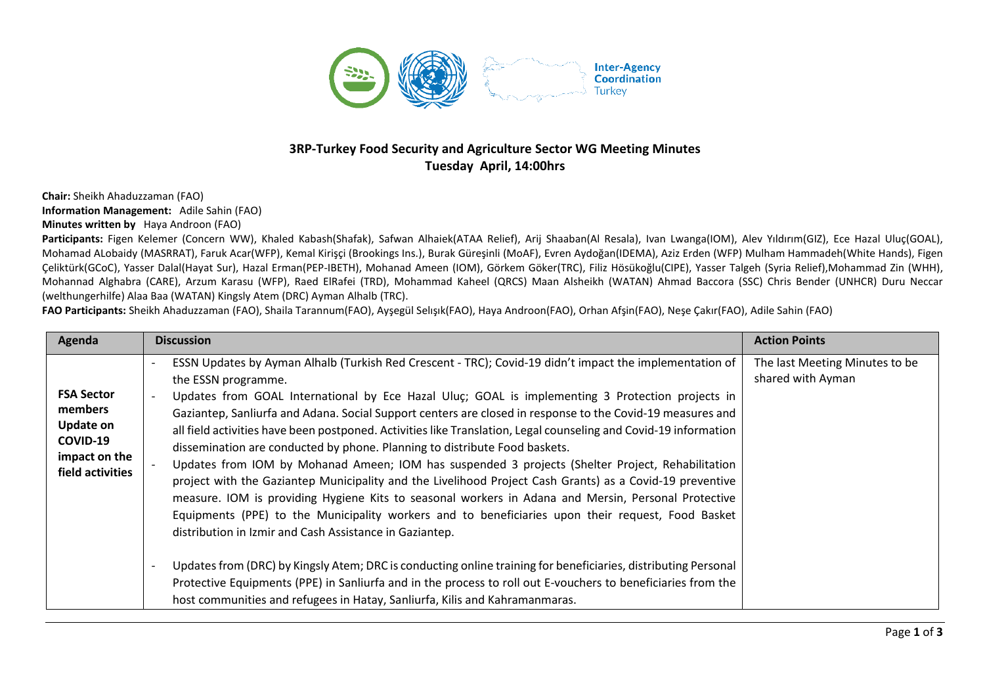

## **3RP-Turkey Food Security and Agriculture Sector WG Meeting Minutes Tuesday April, 14:00hrs**

**Chair:** Sheikh Ahaduzzaman (FAO) **Information Management:** Adile Sahin (FAO) **Minutes written by** Haya Androon (FAO)

Participants: Figen Kelemer (Concern WW), Khaled Kabash(Shafak), Safwan Alhaiek(ATAA Relief), Arij Shaaban(Al Resala), Ivan Lwanga(IOM), Alev Yıldırım(GIZ), Ece Hazal Uluç(GOAL), Mohamad ALobaidy (MASRRAT), Faruk Acar(WFP), Kemal Kirişçi (Brookings Ins.), Burak Güreşinli (MoAF), Evren Aydoğan(IDEMA), Aziz Erden (WFP) Mulham Hammadeh(White Hands), Figen Çeliktürk(GCoC), Yasser Dalal(Hayat Sur), Hazal Erman(PEP-IBETH), Mohanad Ameen (IOM), Görkem Göker(TRC), Filiz Hösükoğlu(CIPE), Yasser Talgeh (Syria Relief),Mohammad Zin (WHH), Mohannad Alghabra (CARE), Arzum Karasu (WFP), Raed ElRafei (TRD), Mohammad Kaheel (QRCS) Maan Alsheikh (WATAN) Ahmad Baccora (SSC) Chris Bender (UNHCR) Duru Neccar (welthungerhilfe) Alaa Baa (WATAN) Kingsly Atem (DRC) Ayman Alhalb (TRC).

**FAO Participants:** Sheikh Ahaduzzaman (FAO), Shaila Tarannum(FAO), Ayşegül Selışık(FAO), Haya Androon(FAO), Orhan Afşin(FAO), Neşe Çakır(FAO), Adile Sahin (FAO)

| Agenda                                                                                            | <b>Discussion</b>                                                                                                                                                                                                                                                                                                                                                                                                                                                                                                                                                                                                                                                                                                                                                                                                                                                                                                                                                                                                                                                                                                                                                                                                                                                                                                                                          | <b>Action Points</b>                                |
|---------------------------------------------------------------------------------------------------|------------------------------------------------------------------------------------------------------------------------------------------------------------------------------------------------------------------------------------------------------------------------------------------------------------------------------------------------------------------------------------------------------------------------------------------------------------------------------------------------------------------------------------------------------------------------------------------------------------------------------------------------------------------------------------------------------------------------------------------------------------------------------------------------------------------------------------------------------------------------------------------------------------------------------------------------------------------------------------------------------------------------------------------------------------------------------------------------------------------------------------------------------------------------------------------------------------------------------------------------------------------------------------------------------------------------------------------------------------|-----------------------------------------------------|
| <b>FSA Sector</b><br>members<br><b>Update on</b><br>COVID-19<br>impact on the<br>field activities | ESSN Updates by Ayman Alhalb (Turkish Red Crescent - TRC); Covid-19 didn't impact the implementation of<br>the ESSN programme.<br>Updates from GOAL International by Ece Hazal Uluç; GOAL is implementing 3 Protection projects in<br>Gaziantep, Sanliurfa and Adana. Social Support centers are closed in response to the Covid-19 measures and<br>all field activities have been postponed. Activities like Translation, Legal counseling and Covid-19 information<br>dissemination are conducted by phone. Planning to distribute Food baskets.<br>Updates from IOM by Mohanad Ameen; IOM has suspended 3 projects (Shelter Project, Rehabilitation<br>project with the Gaziantep Municipality and the Livelihood Project Cash Grants) as a Covid-19 preventive<br>measure. IOM is providing Hygiene Kits to seasonal workers in Adana and Mersin, Personal Protective<br>Equipments (PPE) to the Municipality workers and to beneficiaries upon their request, Food Basket<br>distribution in Izmir and Cash Assistance in Gaziantep.<br>Updates from (DRC) by Kingsly Atem; DRC is conducting online training for beneficiaries, distributing Personal<br>Protective Equipments (PPE) in Sanliurfa and in the process to roll out E-vouchers to beneficiaries from the<br>host communities and refugees in Hatay, Sanliurfa, Kilis and Kahramanmaras. | The last Meeting Minutes to be<br>shared with Ayman |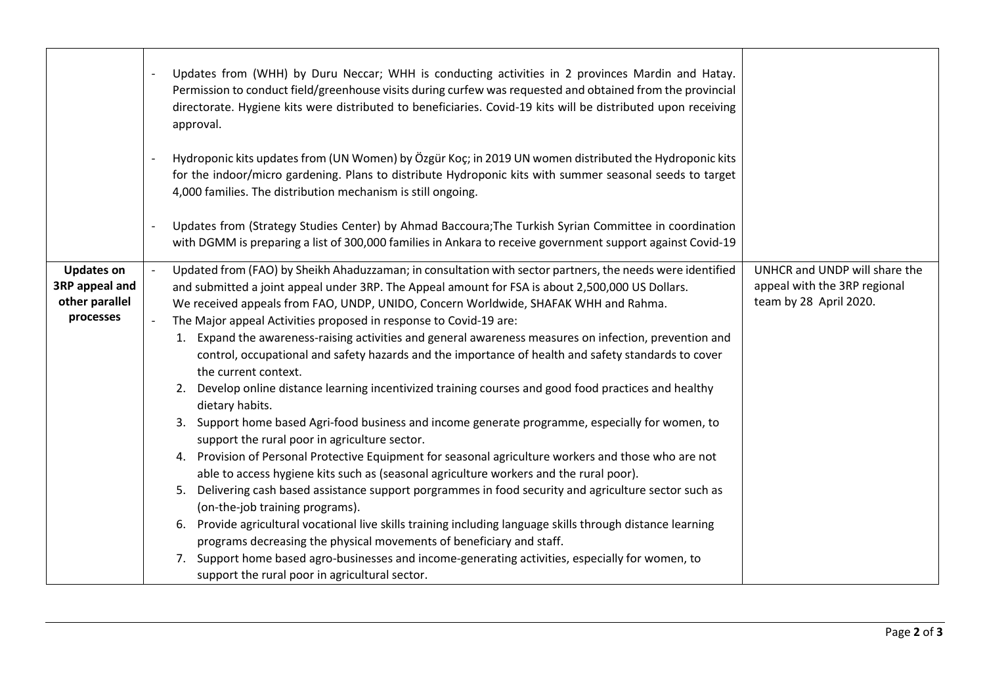|                                                                    | Updates from (WHH) by Duru Neccar; WHH is conducting activities in 2 provinces Mardin and Hatay.<br>Permission to conduct field/greenhouse visits during curfew was requested and obtained from the provincial<br>directorate. Hygiene kits were distributed to beneficiaries. Covid-19 kits will be distributed upon receiving<br>approval.<br>Hydroponic kits updates from (UN Women) by Özgür Koç; in 2019 UN women distributed the Hydroponic kits<br>for the indoor/micro gardening. Plans to distribute Hydroponic kits with summer seasonal seeds to target<br>4,000 families. The distribution mechanism is still ongoing.<br>Updates from (Strategy Studies Center) by Ahmad Baccoura; The Turkish Syrian Committee in coordination<br>with DGMM is preparing a list of 300,000 families in Ankara to receive government support against Covid-19                                                                                                                                                                                                                                                                                                                                                                                                                                                                                                                                                                                                                                                                                                                                         |                                                                                         |
|--------------------------------------------------------------------|----------------------------------------------------------------------------------------------------------------------------------------------------------------------------------------------------------------------------------------------------------------------------------------------------------------------------------------------------------------------------------------------------------------------------------------------------------------------------------------------------------------------------------------------------------------------------------------------------------------------------------------------------------------------------------------------------------------------------------------------------------------------------------------------------------------------------------------------------------------------------------------------------------------------------------------------------------------------------------------------------------------------------------------------------------------------------------------------------------------------------------------------------------------------------------------------------------------------------------------------------------------------------------------------------------------------------------------------------------------------------------------------------------------------------------------------------------------------------------------------------------------------------------------------------------------------------------------------------|-----------------------------------------------------------------------------------------|
| <b>Updates on</b><br>3RP appeal and<br>other parallel<br>processes | Updated from (FAO) by Sheikh Ahaduzzaman; in consultation with sector partners, the needs were identified<br>and submitted a joint appeal under 3RP. The Appeal amount for FSA is about 2,500,000 US Dollars.<br>We received appeals from FAO, UNDP, UNIDO, Concern Worldwide, SHAFAK WHH and Rahma.<br>The Major appeal Activities proposed in response to Covid-19 are:<br>1. Expand the awareness-raising activities and general awareness measures on infection, prevention and<br>control, occupational and safety hazards and the importance of health and safety standards to cover<br>the current context.<br>2. Develop online distance learning incentivized training courses and good food practices and healthy<br>dietary habits.<br>3. Support home based Agri-food business and income generate programme, especially for women, to<br>support the rural poor in agriculture sector.<br>4. Provision of Personal Protective Equipment for seasonal agriculture workers and those who are not<br>able to access hygiene kits such as (seasonal agriculture workers and the rural poor).<br>Delivering cash based assistance support porgrammes in food security and agriculture sector such as<br>5.<br>(on-the-job training programs).<br>6. Provide agricultural vocational live skills training including language skills through distance learning<br>programs decreasing the physical movements of beneficiary and staff.<br>7. Support home based agro-businesses and income-generating activities, especially for women, to<br>support the rural poor in agricultural sector. | UNHCR and UNDP will share the<br>appeal with the 3RP regional<br>team by 28 April 2020. |